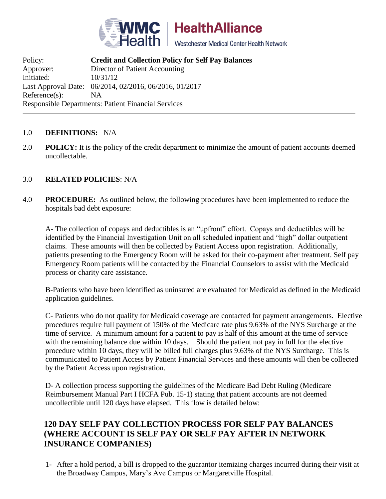

**HealthAlliance** 

Westchester Medical Center Health Network

Policy: **Credit and Collection Policy for Self Pay Balances** Approver: Director of Patient Accounting Initiated: 10/31/12 Last Approval Date: 06/2014, 02/2016, 06/2016, 01/2017 Reference(s): NA Responsible Departments: Patient Financial Services  $\Box$  . The contribution of the contribution of the contribution of the contribution of the contribution of the contribution of the contribution of the contribution of the contribution of the contribution of the contributi

#### 1.0 **DEFINITIONS:** N/A

2.0 **POLICY:** It is the policy of the credit department to minimize the amount of patient accounts deemed uncollectable.

#### 3.0 **RELATED POLICIES**: N/A

4.0 **PROCEDURE:** As outlined below, the following procedures have been implemented to reduce the hospitals bad debt exposure:

A- The collection of copays and deductibles is an "upfront" effort. Copays and deductibles will be identified by the Financial Investigation Unit on all scheduled inpatient and "high" dollar outpatient claims. These amounts will then be collected by Patient Access upon registration. Additionally, patients presenting to the Emergency Room will be asked for their co-payment after treatment. Self pay Emergency Room patients will be contacted by the Financial Counselors to assist with the Medicaid process or charity care assistance.

B-Patients who have been identified as uninsured are evaluated for Medicaid as defined in the Medicaid application guidelines.

C- Patients who do not qualify for Medicaid coverage are contacted for payment arrangements. Elective procedures require full payment of 150% of the Medicare rate plus 9.63% of the NYS Surcharge at the time of service. A minimum amount for a patient to pay is half of this amount at the time of service with the remaining balance due within 10 days. Should the patient not pay in full for the elective procedure within 10 days, they will be billed full charges plus 9.63% of the NYS Surcharge. This is communicated to Patient Access by Patient Financial Services and these amounts will then be collected by the Patient Access upon registration.

D- A collection process supporting the guidelines of the Medicare Bad Debt Ruling (Medicare Reimbursement Manual Part I HCFA Pub. 15-1) stating that patient accounts are not deemed uncollectible until 120 days have elapsed. This flow is detailed below:

# **120 DAY SELF PAY COLLECTION PROCESS FOR SELF PAY BALANCES (WHERE ACCOUNT IS SELF PAY OR SELF PAY AFTER IN NETWORK INSURANCE COMPANIES)**

1- After a hold period, a bill is dropped to the guarantor itemizing charges incurred during their visit at the Broadway Campus, Mary's Ave Campus or Margaretville Hospital.